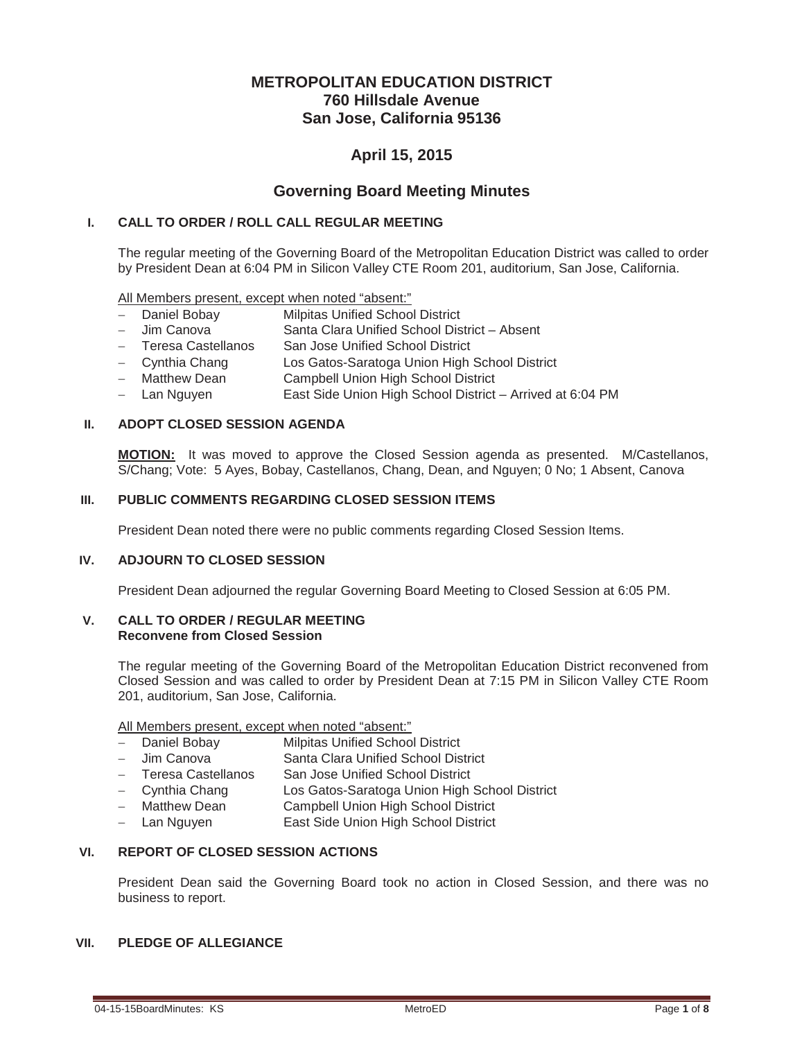# **METROPOLITAN EDUCATION DISTRICT 760 Hillsdale Avenue San Jose, California 95136**

# **April 15, 2015**

# **Governing Board Meeting Minutes**

### **I. CALL TO ORDER / ROLL CALL REGULAR MEETING**

The regular meeting of the Governing Board of the Metropolitan Education District was called to order by President Dean at 6:04 PM in Silicon Valley CTE Room 201, auditorium, San Jose, California.

All Members present, except when noted "absent:"

- Daniel Bobay Milpitas Unified School District
- Jim Canova Santa Clara Unified School District Absent
- Teresa Castellanos San Jose Unified School District
- Cynthia Chang Los Gatos-Saratoga Union High School District
- Matthew Dean Campbell Union High School District
- Lan Nguyen East Side Union High School District Arrived at 6:04 PM

### **II. ADOPT CLOSED SESSION AGENDA**

**MOTION:** It was moved to approve the Closed Session agenda as presented. M/Castellanos, S/Chang; Vote: 5 Ayes, Bobay, Castellanos, Chang, Dean, and Nguyen; 0 No; 1 Absent, Canova

### **III. PUBLIC COMMENTS REGARDING CLOSED SESSION ITEMS**

President Dean noted there were no public comments regarding Closed Session Items.

#### **IV. ADJOURN TO CLOSED SESSION**

President Dean adjourned the regular Governing Board Meeting to Closed Session at 6:05 PM.

#### **V. CALL TO ORDER / REGULAR MEETING Reconvene from Closed Session**

The regular meeting of the Governing Board of the Metropolitan Education District reconvened from Closed Session and was called to order by President Dean at 7:15 PM in Silicon Valley CTE Room 201, auditorium, San Jose, California.

All Members present, except when noted "absent:"

- Daniel Bobay Milpitas Unified School District
- Jim Canova Santa Clara Unified School District
- Teresa Castellanos San Jose Unified School District
- Cynthia Chang Los Gatos-Saratoga Union High School District
- Matthew Dean Campbell Union High School District
- Lan Nguyen **East Side Union High School District**

# **VI. REPORT OF CLOSED SESSION ACTIONS**

President Dean said the Governing Board took no action in Closed Session, and there was no business to report.

# **VII. PLEDGE OF ALLEGIANCE**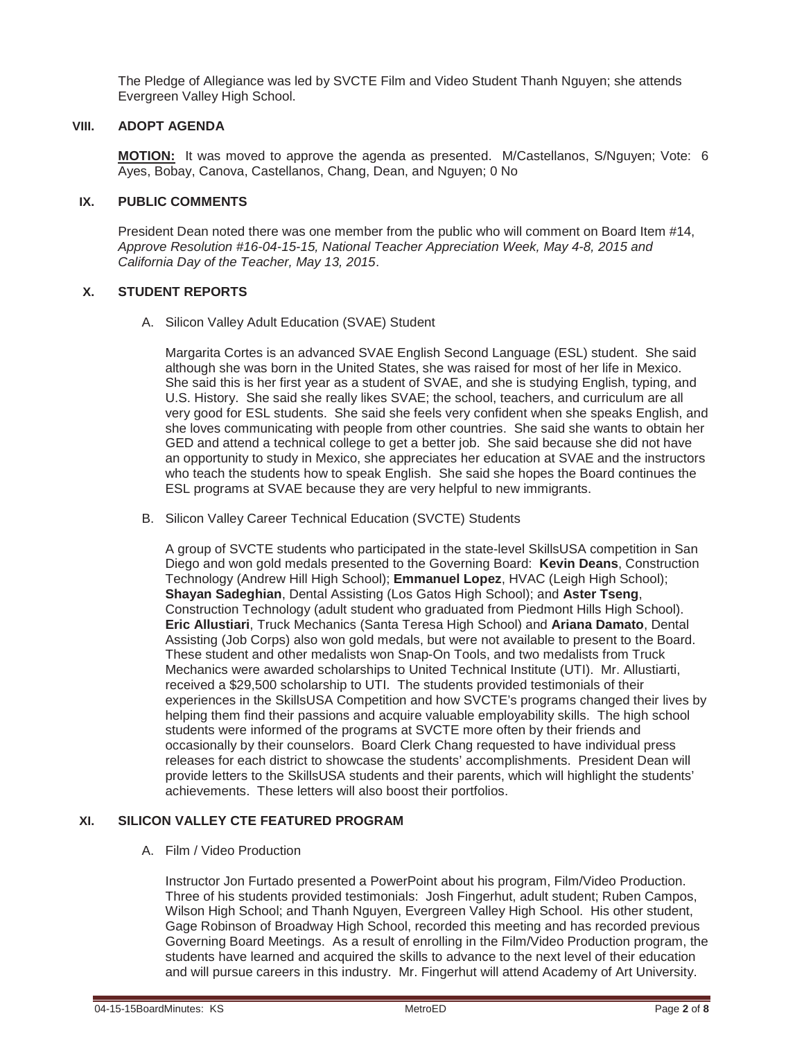The Pledge of Allegiance was led by SVCTE Film and Video Student Thanh Nguyen; she attends Evergreen Valley High School.

#### **VIII. ADOPT AGENDA**

**MOTION:** It was moved to approve the agenda as presented. M/Castellanos, S/Nguyen; Vote: 6 Ayes, Bobay, Canova, Castellanos, Chang, Dean, and Nguyen; 0 No

### **IX. PUBLIC COMMENTS**

President Dean noted there was one member from the public who will comment on Board Item #14, *Approve Resolution #16-04-15-15, National Teacher Appreciation Week, May 4-8, 2015 and California Day of the Teacher, May 13, 2015*.

### **X. STUDENT REPORTS**

A. Silicon Valley Adult Education (SVAE) Student

Margarita Cortes is an advanced SVAE English Second Language (ESL) student. She said although she was born in the United States, she was raised for most of her life in Mexico. She said this is her first year as a student of SVAE, and she is studying English, typing, and U.S. History. She said she really likes SVAE; the school, teachers, and curriculum are all very good for ESL students. She said she feels very confident when she speaks English, and she loves communicating with people from other countries. She said she wants to obtain her GED and attend a technical college to get a better job. She said because she did not have an opportunity to study in Mexico, she appreciates her education at SVAE and the instructors who teach the students how to speak English. She said she hopes the Board continues the ESL programs at SVAE because they are very helpful to new immigrants.

B. Silicon Valley Career Technical Education (SVCTE) Students

A group of SVCTE students who participated in the state-level SkillsUSA competition in San Diego and won gold medals presented to the Governing Board: **Kevin Deans**, Construction Technology (Andrew Hill High School); **Emmanuel Lopez**, HVAC (Leigh High School); **Shayan Sadeghian**, Dental Assisting (Los Gatos High School); and **Aster Tseng**, Construction Technology (adult student who graduated from Piedmont Hills High School). **Eric Allustiari**, Truck Mechanics (Santa Teresa High School) and **Ariana Damato**, Dental Assisting (Job Corps) also won gold medals, but were not available to present to the Board. These student and other medalists won Snap-On Tools, and two medalists from Truck Mechanics were awarded scholarships to United Technical Institute (UTI). Mr. Allustiarti, received a \$29,500 scholarship to UTI. The students provided testimonials of their experiences in the SkillsUSA Competition and how SVCTE's programs changed their lives by helping them find their passions and acquire valuable employability skills. The high school students were informed of the programs at SVCTE more often by their friends and occasionally by their counselors. Board Clerk Chang requested to have individual press releases for each district to showcase the students' accomplishments. President Dean will provide letters to the SkillsUSA students and their parents, which will highlight the students' achievements. These letters will also boost their portfolios.

### **XI. SILICON VALLEY CTE FEATURED PROGRAM**

#### A. Film / Video Production

Instructor Jon Furtado presented a PowerPoint about his program, Film/Video Production. Three of his students provided testimonials: Josh Fingerhut, adult student; Ruben Campos, Wilson High School; and Thanh Nguyen, Evergreen Valley High School. His other student, Gage Robinson of Broadway High School, recorded this meeting and has recorded previous Governing Board Meetings. As a result of enrolling in the Film/Video Production program, the students have learned and acquired the skills to advance to the next level of their education and will pursue careers in this industry. Mr. Fingerhut will attend Academy of Art University.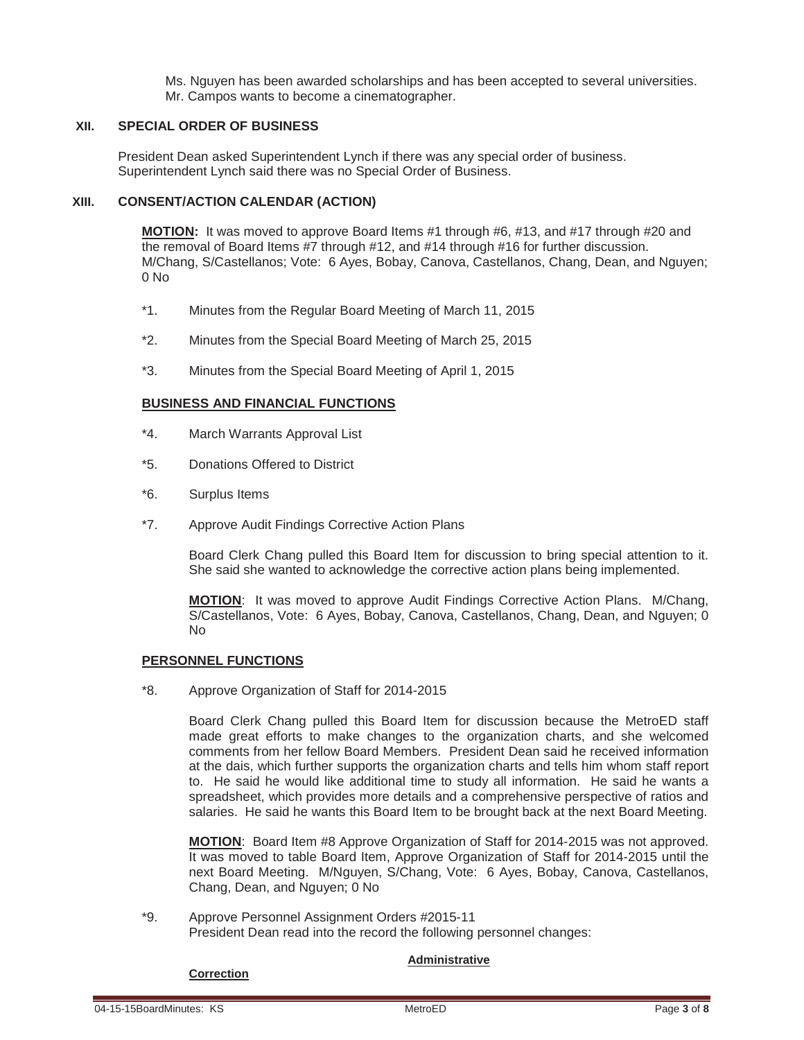Ms. Nguyen has been awarded scholarships and has been accepted to several universities. Mr. Campos wants to become a cinematographer.

#### **XII. SPECIAL ORDER OF BUSINESS**

President Dean asked Superintendent Lynch if there was any special order of business. Superintendent Lynch said there was no Special Order of Business.

#### **XIII. CONSENT/ACTION CALENDAR (ACTION)**

**MOTION:** It was moved to approve Board Items #1 through #6, #13, and #17 through #20 and the removal of Board Items #7 through #12, and #14 through #16 for further discussion. M/Chang, S/Castellanos; Vote: 6 Ayes, Bobay, Canova, Castellanos, Chang, Dean, and Nguyen;  $0$  No

- \*1. Minutes from the Regular Board Meeting of March 11, 2015
- \*2. Minutes from the Special Board Meeting of March 25, 2015
- \*3. Minutes from the Special Board Meeting of April 1, 2015

#### **BUSINESS AND FINANCIAL FUNCTIONS**

- \*4. March Warrants Approval List
- \*5. Donations Offered to District
- \*6. Surplus Items
- \*7. Approve Audit Findings Corrective Action Plans

Board Clerk Chang pulled this Board Item for discussion to bring special attention to it. She said she wanted to acknowledge the corrective action plans being implemented.

**MOTION**: It was moved to approve Audit Findings Corrective Action Plans. M/Chang, S/Castellanos, Vote: 6 Ayes, Bobay, Canova, Castellanos, Chang, Dean, and Nguyen; 0 No

#### **PERSONNEL FUNCTIONS**

\*8. Approve Organization of Staff for 2014-2015

Board Clerk Chang pulled this Board Item for discussion because the MetroED staff made great efforts to make changes to the organization charts, and she welcomed comments from her fellow Board Members. President Dean said he received information at the dais, which further supports the organization charts and tells him whom staff report to. He said he would like additional time to study all information. He said he wants a spreadsheet, which provides more details and a comprehensive perspective of ratios and salaries. He said he wants this Board Item to be brought back at the next Board Meeting.

**MOTION**: Board Item #8 Approve Organization of Staff for 2014-2015 was not approved. It was moved to table Board Item, Approve Organization of Staff for 2014-2015 until the next Board Meeting. M/Nguyen, S/Chang, Vote: 6 Ayes, Bobay, Canova, Castellanos, Chang, Dean, and Nguyen; 0 No

\*9. Approve Personnel Assignment Orders #2015-11 President Dean read into the record the following personnel changes:

#### **Administrative**

#### **Correction**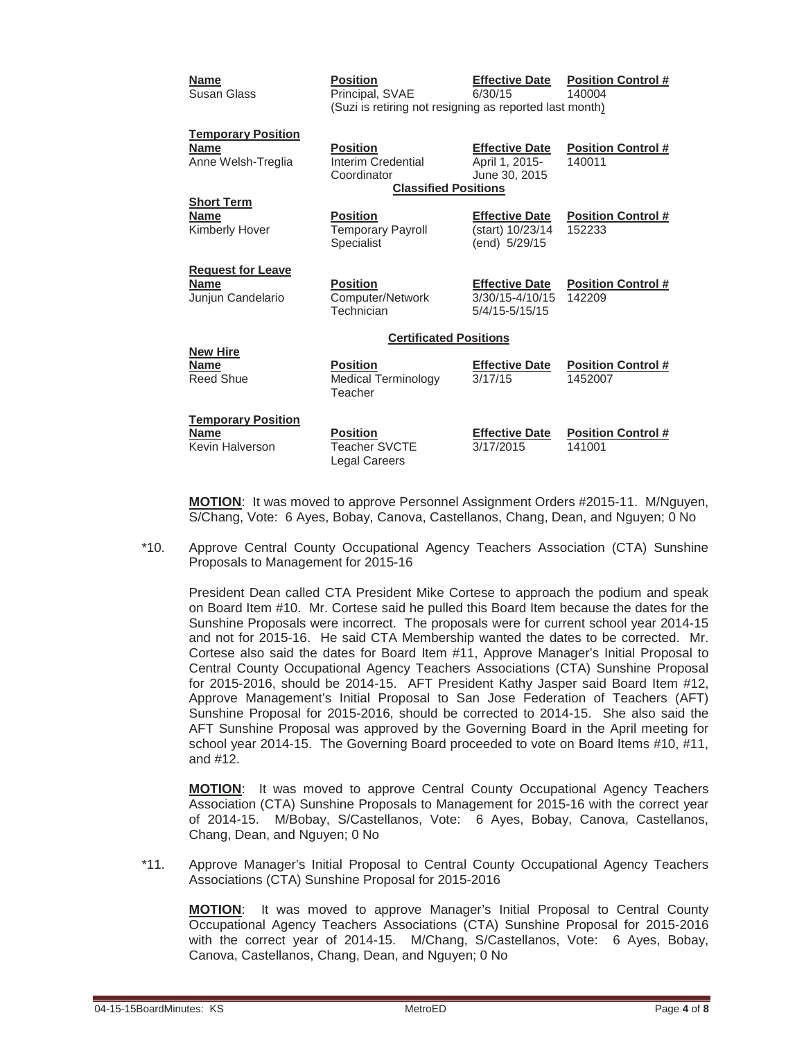| <b>Name</b><br>Susan Glass                                     | <b>Position</b><br>Principal, SVAE<br>(Suzi is retiring not resigning as reported last month) | <b>Effective Date</b><br>6/30/15                           | <b>Position Control #</b><br>140004  |  |
|----------------------------------------------------------------|-----------------------------------------------------------------------------------------------|------------------------------------------------------------|--------------------------------------|--|
| <b>Temporary Position</b><br><b>Name</b><br>Anne Welsh-Treglia | <b>Position</b><br>Interim Credential<br>Coordinator<br><b>Classified Positions</b>           | <b>Effective Date</b><br>April 1, 2015-<br>June 30, 2015   | <b>Position Control #</b><br>140011  |  |
| <b>Short Term</b><br><b>Name</b><br>Kimberly Hover             | <b>Position</b><br><b>Temporary Payroll</b><br>Specialist                                     | <b>Effective Date</b><br>(start) 10/23/14<br>(end) 5/29/15 | <b>Position Control #</b><br>152233  |  |
| <b>Request for Leave</b><br><b>Name</b><br>Junjun Candelario   | <b>Position</b><br>Computer/Network<br>Technician                                             | <b>Effective Date</b><br>3/30/15-4/10/15<br>5/4/15-5/15/15 | <b>Position Control #</b><br>142209  |  |
| <b>Certificated Positions</b>                                  |                                                                                               |                                                            |                                      |  |
| <b>New Hire</b><br><b>Name</b><br><b>Reed Shue</b>             | <b>Position</b><br><b>Medical Terminology</b><br>Teacher                                      | <b>Effective Date</b><br>3/17/15                           | <b>Position Control #</b><br>1452007 |  |
| <b>Temporary Position</b><br><b>Name</b><br>Kevin Halverson    | <b>Position</b><br><b>Teacher SVCTE</b><br><b>Legal Careers</b>                               | <b>Effective Date</b><br>3/17/2015                         | <b>Position Control #</b><br>141001  |  |

**MOTION**: It was moved to approve Personnel Assignment Orders #2015-11. M/Nguyen, S/Chang, Vote: 6 Ayes, Bobay, Canova, Castellanos, Chang, Dean, and Nguyen; 0 No

\*10. Approve Central County Occupational Agency Teachers Association (CTA) Sunshine Proposals to Management for 2015-16

President Dean called CTA President Mike Cortese to approach the podium and speak on Board Item #10. Mr. Cortese said he pulled this Board Item because the dates for the Sunshine Proposals were incorrect. The proposals were for current school year 2014-15 and not for 2015-16. He said CTA Membership wanted the dates to be corrected. Mr. Cortese also said the dates for Board Item #11, Approve Manager's Initial Proposal to Central County Occupational Agency Teachers Associations (CTA) Sunshine Proposal for 2015-2016, should be 2014-15. AFT President Kathy Jasper said Board Item #12, Approve Management's Initial Proposal to San Jose Federation of Teachers (AFT) Sunshine Proposal for 2015-2016, should be corrected to 2014-15. She also said the AFT Sunshine Proposal was approved by the Governing Board in the April meeting for school year 2014-15. The Governing Board proceeded to vote on Board Items #10, #11, and #12.

**MOTION**: It was moved to approve Central County Occupational Agency Teachers Association (CTA) Sunshine Proposals to Management for 2015-16 with the correct year of 2014-15. M/Bobay, S/Castellanos, Vote: 6 Ayes, Bobay, Canova, Castellanos, Chang, Dean, and Nguyen; 0 No

\*11. Approve Manager's Initial Proposal to Central County Occupational Agency Teachers Associations (CTA) Sunshine Proposal for 2015-2016

**MOTION**: It was moved to approve Manager's Initial Proposal to Central County Occupational Agency Teachers Associations (CTA) Sunshine Proposal for 2015-2016 with the correct year of 2014-15. M/Chang, S/Castellanos, Vote: 6 Ayes, Bobay, Canova, Castellanos, Chang, Dean, and Nguyen; 0 No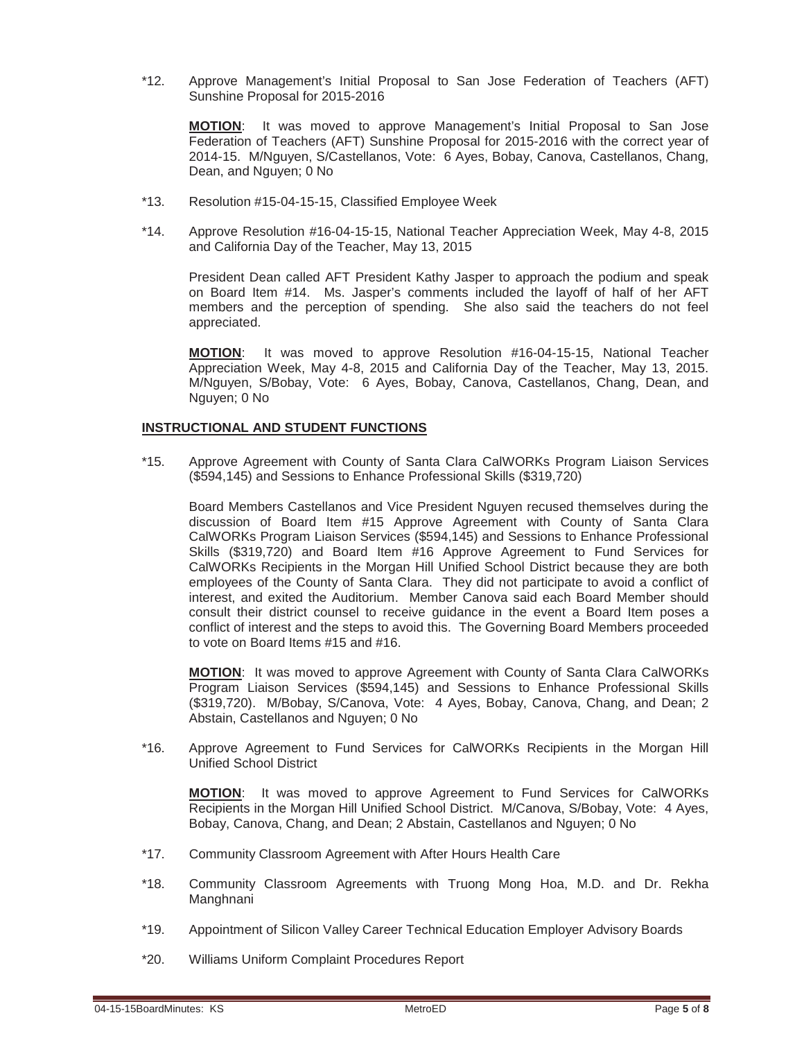\*12. Approve Management's Initial Proposal to San Jose Federation of Teachers (AFT) Sunshine Proposal for 2015-2016

**MOTION**: It was moved to approve Management's Initial Proposal to San Jose Federation of Teachers (AFT) Sunshine Proposal for 2015-2016 with the correct year of 2014-15. M/Nguyen, S/Castellanos, Vote: 6 Ayes, Bobay, Canova, Castellanos, Chang, Dean, and Nguyen; 0 No

- \*13. Resolution #15-04-15-15, Classified Employee Week
- \*14. Approve Resolution #16-04-15-15, National Teacher Appreciation Week, May 4-8, 2015 and California Day of the Teacher, May 13, 2015

President Dean called AFT President Kathy Jasper to approach the podium and speak on Board Item #14. Ms. Jasper's comments included the layoff of half of her AFT members and the perception of spending. She also said the teachers do not feel appreciated.

**MOTION**: It was moved to approve Resolution #16-04-15-15, National Teacher Appreciation Week, May 4-8, 2015 and California Day of the Teacher, May 13, 2015. M/Nguyen, S/Bobay, Vote: 6 Ayes, Bobay, Canova, Castellanos, Chang, Dean, and Nguyen; 0 No

#### **INSTRUCTIONAL AND STUDENT FUNCTIONS**

\*15. Approve Agreement with County of Santa Clara CalWORKs Program Liaison Services (\$594,145) and Sessions to Enhance Professional Skills (\$319,720)

Board Members Castellanos and Vice President Nguyen recused themselves during the discussion of Board Item #15 Approve Agreement with County of Santa Clara CalWORKs Program Liaison Services (\$594,145) and Sessions to Enhance Professional Skills (\$319,720) and Board Item #16 Approve Agreement to Fund Services for CalWORKs Recipients in the Morgan Hill Unified School District because they are both employees of the County of Santa Clara. They did not participate to avoid a conflict of interest, and exited the Auditorium. Member Canova said each Board Member should consult their district counsel to receive guidance in the event a Board Item poses a conflict of interest and the steps to avoid this. The Governing Board Members proceeded to vote on Board Items #15 and #16.

**MOTION**: It was moved to approve Agreement with County of Santa Clara CalWORKs Program Liaison Services (\$594,145) and Sessions to Enhance Professional Skills (\$319,720). M/Bobay, S/Canova, Vote: 4 Ayes, Bobay, Canova, Chang, and Dean; 2 Abstain, Castellanos and Nguyen; 0 No

\*16. Approve Agreement to Fund Services for CalWORKs Recipients in the Morgan Hill Unified School District

**MOTION**: It was moved to approve Agreement to Fund Services for CalWORKs Recipients in the Morgan Hill Unified School District. M/Canova, S/Bobay, Vote: 4 Ayes, Bobay, Canova, Chang, and Dean; 2 Abstain, Castellanos and Nguyen; 0 No

- \*17. Community Classroom Agreement with After Hours Health Care
- \*18. Community Classroom Agreements with Truong Mong Hoa, M.D. and Dr. Rekha Manghnani
- \*19. Appointment of Silicon Valley Career Technical Education Employer Advisory Boards
- \*20. Williams Uniform Complaint Procedures Report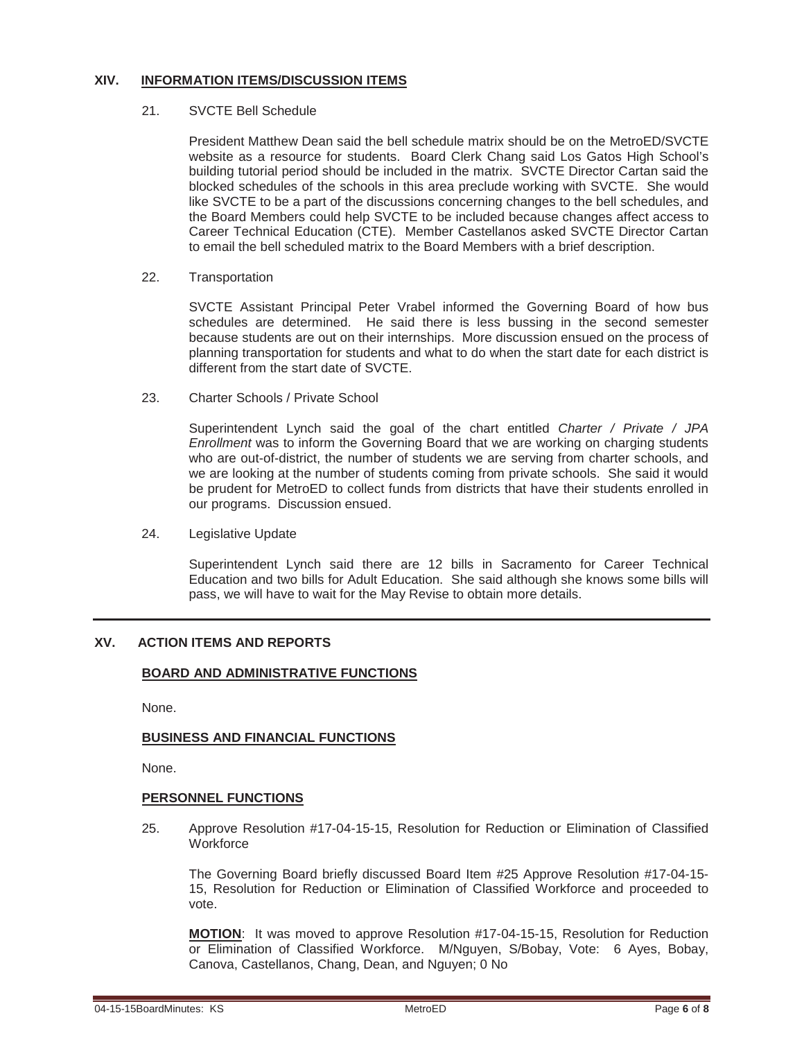### **XIV. INFORMATION ITEMS/DISCUSSION ITEMS**

#### 21. SVCTE Bell Schedule

President Matthew Dean said the bell schedule matrix should be on the MetroED/SVCTE website as a resource for students. Board Clerk Chang said Los Gatos High School's building tutorial period should be included in the matrix. SVCTE Director Cartan said the blocked schedules of the schools in this area preclude working with SVCTE. She would like SVCTE to be a part of the discussions concerning changes to the bell schedules, and the Board Members could help SVCTE to be included because changes affect access to Career Technical Education (CTE). Member Castellanos asked SVCTE Director Cartan to email the bell scheduled matrix to the Board Members with a brief description.

#### 22. Transportation

SVCTE Assistant Principal Peter Vrabel informed the Governing Board of how bus schedules are determined. He said there is less bussing in the second semester because students are out on their internships. More discussion ensued on the process of planning transportation for students and what to do when the start date for each district is different from the start date of SVCTE.

#### 23. Charter Schools / Private School

Superintendent Lynch said the goal of the chart entitled *Charter / Private / JPA Enrollment* was to inform the Governing Board that we are working on charging students who are out-of-district, the number of students we are serving from charter schools, and we are looking at the number of students coming from private schools. She said it would be prudent for MetroED to collect funds from districts that have their students enrolled in our programs. Discussion ensued.

#### 24. Legislative Update

Superintendent Lynch said there are 12 bills in Sacramento for Career Technical Education and two bills for Adult Education. She said although she knows some bills will pass, we will have to wait for the May Revise to obtain more details.

### **XV. ACTION ITEMS AND REPORTS**

#### **BOARD AND ADMINISTRATIVE FUNCTIONS**

None.

#### **BUSINESS AND FINANCIAL FUNCTIONS**

None.

#### **PERSONNEL FUNCTIONS**

25. Approve Resolution #17-04-15-15, Resolution for Reduction or Elimination of Classified **Workforce** 

The Governing Board briefly discussed Board Item #25 Approve Resolution #17-04-15- 15, Resolution for Reduction or Elimination of Classified Workforce and proceeded to vote.

**MOTION**: It was moved to approve Resolution #17-04-15-15, Resolution for Reduction or Elimination of Classified Workforce. M/Nguyen, S/Bobay, Vote: 6 Ayes, Bobay, Canova, Castellanos, Chang, Dean, and Nguyen; 0 No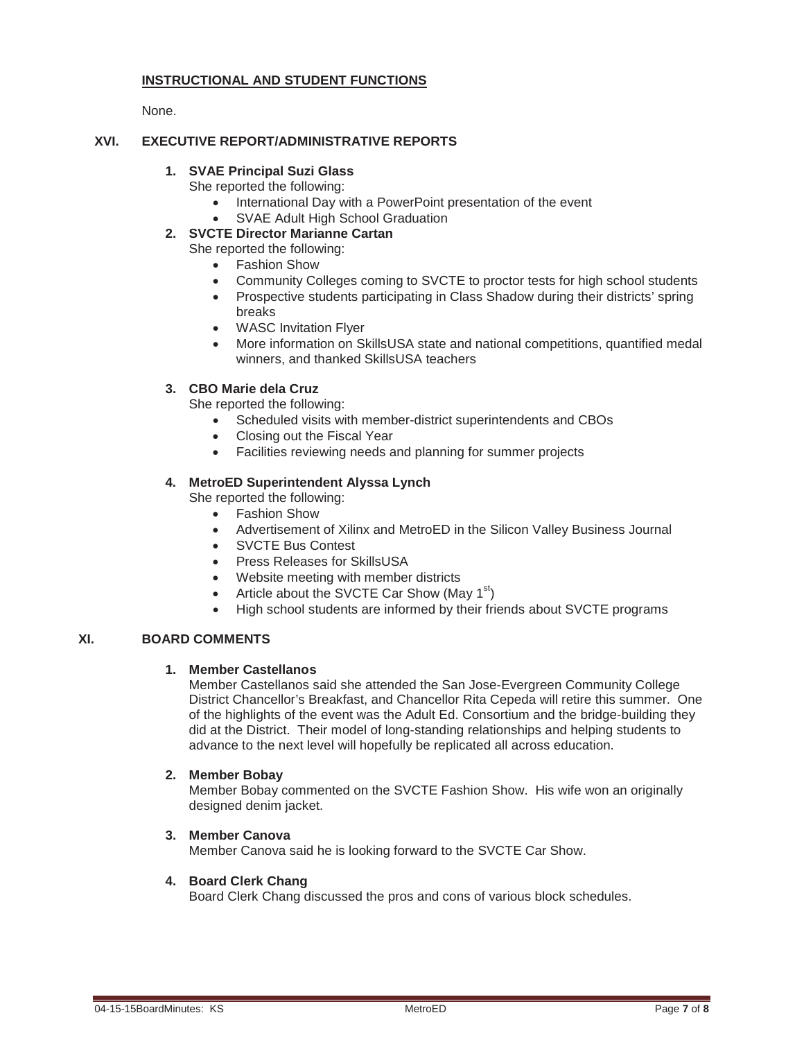## **INSTRUCTIONAL AND STUDENT FUNCTIONS**

None.

### **XVI. EXECUTIVE REPORT/ADMINISTRATIVE REPORTS**

## **1. SVAE Principal Suzi Glass**

- She reported the following:
	- International Day with a PowerPoint presentation of the event
	- SVAE Adult High School Graduation
- **2. SVCTE Director Marianne Cartan**

She reported the following:

- Fashion Show
- Community Colleges coming to SVCTE to proctor tests for high school students
- Prospective students participating in Class Shadow during their districts' spring breaks
- WASC Invitation Flyer
- More information on SkillsUSA state and national competitions, quantified medal winners, and thanked SkillsUSA teachers

### **3. CBO Marie dela Cruz**

She reported the following:

- Scheduled visits with member-district superintendents and CBOs
- Closing out the Fiscal Year
- Facilities reviewing needs and planning for summer projects

### **4. MetroED Superintendent Alyssa Lynch**

She reported the following:

- Fashion Show
- Advertisement of Xilinx and MetroED in the Silicon Valley Business Journal
- SVCTE Bus Contest
- Press Releases for SkillsUSA
- Website meeting with member districts
- Article about the SVCTE Car Show (May  $1<sup>st</sup>$ )
- High school students are informed by their friends about SVCTE programs

### **XI. BOARD COMMENTS**

#### **1. Member Castellanos**

Member Castellanos said she attended the San Jose-Evergreen Community College District Chancellor's Breakfast, and Chancellor Rita Cepeda will retire this summer. One of the highlights of the event was the Adult Ed. Consortium and the bridge-building they did at the District. Their model of long-standing relationships and helping students to advance to the next level will hopefully be replicated all across education.

### **2. Member Bobay**

Member Bobay commented on the SVCTE Fashion Show. His wife won an originally designed denim jacket.

#### **3. Member Canova**

Member Canova said he is looking forward to the SVCTE Car Show.

#### **4. Board Clerk Chang**

Board Clerk Chang discussed the pros and cons of various block schedules.